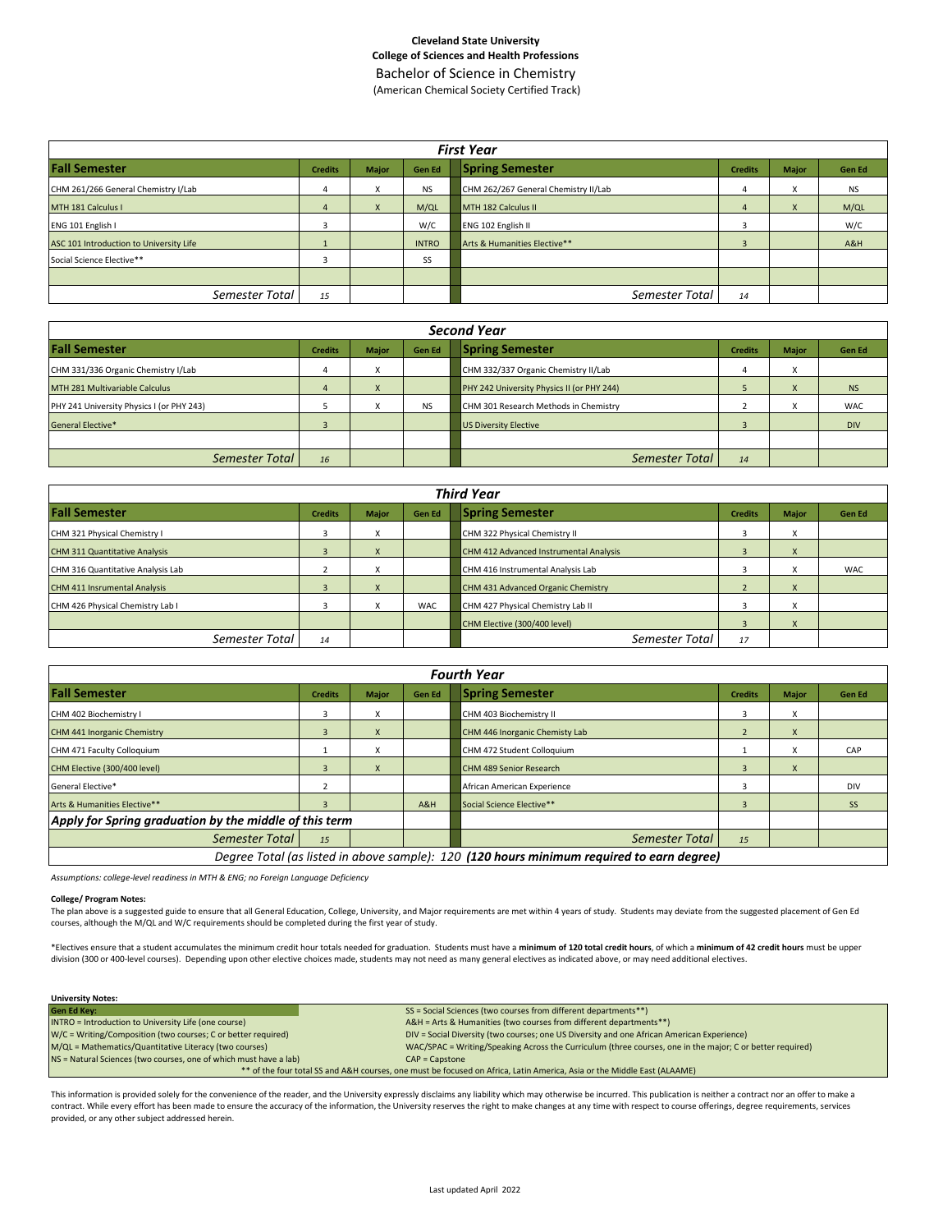Bachelor of Science in Chemistry (American Chemical Society Certified Track)

| <b>First Year</b>                       |                |                           |               |                                      |                |              |               |  |  |  |  |
|-----------------------------------------|----------------|---------------------------|---------------|--------------------------------------|----------------|--------------|---------------|--|--|--|--|
| <b>Fall Semester</b>                    | <b>Credits</b> | <b>Major</b>              | <b>Gen Ed</b> | <b>Spring Semester</b>               | <b>Credits</b> | <b>Major</b> | <b>Gen Ed</b> |  |  |  |  |
| CHM 261/266 General Chemistry I/Lab     | 4              |                           | <b>NS</b>     | CHM 262/267 General Chemistry II/Lab | 4              | $\lambda$    | <b>NS</b>     |  |  |  |  |
| MTH 181 Calculus I                      | $\overline{4}$ | $\boldsymbol{\mathsf{x}}$ | M/QL          | MTH 182 Calculus II                  | 4              | X            | M/QL          |  |  |  |  |
| ENG 101 English I                       | 3              |                           | W/C           | ENG 102 English II                   |                |              | W/C           |  |  |  |  |
| ASC 101 Introduction to University Life |                |                           | <b>INTRO</b>  | Arts & Humanities Elective**         |                |              | A&H           |  |  |  |  |
| Social Science Elective**               | 3              |                           | SS            |                                      |                |              |               |  |  |  |  |
|                                         |                |                           |               |                                      |                |              |               |  |  |  |  |
| Semester Total                          | 15             |                           |               | Semester Total                       | 14             |              |               |  |  |  |  |

| Second Year                               |                |              |               |                                            |                |                           |               |  |  |  |  |
|-------------------------------------------|----------------|--------------|---------------|--------------------------------------------|----------------|---------------------------|---------------|--|--|--|--|
| <b>Fall Semester</b>                      | <b>Credits</b> | <b>Major</b> | <b>Gen Ed</b> | <b>Spring Semester</b>                     | <b>Credits</b> | <b>Major</b>              | <b>Gen Ed</b> |  |  |  |  |
| CHM 331/336 Organic Chemistry I/Lab       |                | X            |               | CHM 332/337 Organic Chemistry II/Lab       |                | $\checkmark$<br>$\lambda$ |               |  |  |  |  |
| MTH 281 Multivariable Calculus            |                | X            |               | PHY 242 University Physics II (or PHY 244) |                | X                         | <b>NS</b>     |  |  |  |  |
| PHY 241 University Physics I (or PHY 243) |                |              | <b>NS</b>     | CHM 301 Research Methods in Chemistry      |                | $\checkmark$              | <b>WAC</b>    |  |  |  |  |
| <b>General Elective*</b>                  |                |              |               | <b>US Diversity Elective</b>               |                |                           | <b>DIV</b>    |  |  |  |  |
|                                           |                |              |               |                                            |                |                           |               |  |  |  |  |
| Semester Total                            | 16             |              |               | Semester Total                             | 14             |                           |               |  |  |  |  |

| <b>Third Year</b>                    |                |                        |               |                                        |                |              |               |  |  |  |  |
|--------------------------------------|----------------|------------------------|---------------|----------------------------------------|----------------|--------------|---------------|--|--|--|--|
| <b>Fall Semester</b>                 | <b>Credits</b> | <b>Major</b>           | <b>Gen Ed</b> | <b>Spring Semester</b>                 | <b>Credits</b> | <b>Major</b> | <b>Gen Ed</b> |  |  |  |  |
| CHM 321 Physical Chemistry I         |                | $\lambda$              |               | CHM 322 Physical Chemistry II          |                |              |               |  |  |  |  |
| <b>CHM 311 Quantitative Analysis</b> |                |                        |               | CHM 412 Advanced Instrumental Analysis |                | $\mathsf{x}$ |               |  |  |  |  |
| CHM 316 Quantitative Analysis Lab    |                |                        |               | CHM 416 Instrumental Analysis Lab      |                | X            | <b>WAC</b>    |  |  |  |  |
| <b>CHM 411 Insrumental Analysis</b>  |                | $\boldsymbol{\lambda}$ |               | CHM 431 Advanced Organic Chemistry     |                | $\mathbf{x}$ |               |  |  |  |  |
| CHM 426 Physical Chemistry Lab I     |                |                        | <b>WAC</b>    | CHM 427 Physical Chemistry Lab II      |                |              |               |  |  |  |  |
|                                      |                |                        |               | CHM Elective (300/400 level)           |                | X            |               |  |  |  |  |
| Semester Total                       | 14             |                        |               | Semester Total                         | 17             |              |               |  |  |  |  |

|                                                                                           | <b>Fourth Year</b>      |                        |               |                                |                |                           |            |  |  |  |  |  |  |
|-------------------------------------------------------------------------------------------|-------------------------|------------------------|---------------|--------------------------------|----------------|---------------------------|------------|--|--|--|--|--|--|
| <b>Fall Semester</b>                                                                      | <b>Credits</b>          | <b>Major</b>           | <b>Gen Ed</b> | <b>Spring Semester</b>         | <b>Credits</b> | <b>Major</b>              | Gen Ed     |  |  |  |  |  |  |
| CHM 402 Biochemistry I                                                                    | 3                       | X                      |               | CHM 403 Biochemistry II        | 3              | X                         |            |  |  |  |  |  |  |
| CHM 441 Inorganic Chemistry                                                               | $\overline{\mathbf{3}}$ | X                      |               | CHM 446 Inorganic Chemisty Lab | $\overline{2}$ | X                         |            |  |  |  |  |  |  |
| CHM 471 Faculty Colloquium                                                                |                         | X                      |               | CHM 472 Student Colloquium     |                | X                         | CAP        |  |  |  |  |  |  |
| CHM Elective (300/400 level)                                                              | 3                       | $\boldsymbol{\lambda}$ |               | <b>CHM 489 Senior Research</b> | 3              | $\mathbf{v}$<br>$\lambda$ |            |  |  |  |  |  |  |
| General Elective*                                                                         |                         |                        |               | African American Experience    |                |                           | <b>DIV</b> |  |  |  |  |  |  |
| Arts & Humanities Elective**                                                              | $\overline{3}$          |                        | A&H           | Social Science Elective**      | 3              |                           | <b>SS</b>  |  |  |  |  |  |  |
| Apply for Spring graduation by the middle of this term                                    |                         |                        |               |                                |                |                           |            |  |  |  |  |  |  |
| Semester Total                                                                            | 15                      |                        |               | <b>Semester Total</b>          | 15             |                           |            |  |  |  |  |  |  |
| Degree Total (as listed in above sample): 120 (120 hours minimum required to earn degree) |                         |                        |               |                                |                |                           |            |  |  |  |  |  |  |

*Assumptions: college-level readiness in MTH & ENG; no Foreign Language Deficiency*

#### **College/ Program Notes:**

The plan above is a suggested guide to ensure that all General Education, College, University, and Major requirements are met within 4 years of study. Students may deviate from the suggested placement of Gen Ed courses, although the M/QL and W/C requirements should be completed during the first year of study.

\*Electives ensure that a student accumulates the minimum credit hour totals needed for graduation. Students must have a **minimum of 120 total credit hours**, of which a **minimum of 42 credit hours** must be upper division (300 or 400-level courses). Depending upon other elective choices made, students may not need as many general electives as indicated above, or may need additional electives.

| ----------------                                                  |                                                                                                                         |  |  |  |  |  |  |  |
|-------------------------------------------------------------------|-------------------------------------------------------------------------------------------------------------------------|--|--|--|--|--|--|--|
| <b>Gen Ed Key:</b>                                                | SS = Social Sciences (two courses from different departments**)                                                         |  |  |  |  |  |  |  |
| INTRO = Introduction to University Life (one course)              | A&H = Arts & Humanities (two courses from different departments**)                                                      |  |  |  |  |  |  |  |
| W/C = Writing/Composition (two courses; C or better required)     | DIV = Social Diversity (two courses; one US Diversity and one African American Experience)                              |  |  |  |  |  |  |  |
| M/QL = Mathematics/Quantitative Literacy (two courses)            | WAC/SPAC = Writing/Speaking Across the Curriculum (three courses, one in the major; C or better required)               |  |  |  |  |  |  |  |
| NS = Natural Sciences (two courses, one of which must have a lab) | $CAP = \text{Capstone}$                                                                                                 |  |  |  |  |  |  |  |
|                                                                   | ** of the four total SS and A&H courses, one must be focused on Africa, Latin America, Asia or the Middle East (ALAAME) |  |  |  |  |  |  |  |

This information is provided solely for the convenience of the reader, and the University expressly disclaims any liability which may otherwise be incurred. This publication is neither a contract nor an offer to make a contract. While every effort has been made to ensure the accuracy of the information, the University reserves the right to make changes at any time with respect to course offerings, degree requirements, services provided, or any other subject addressed herein.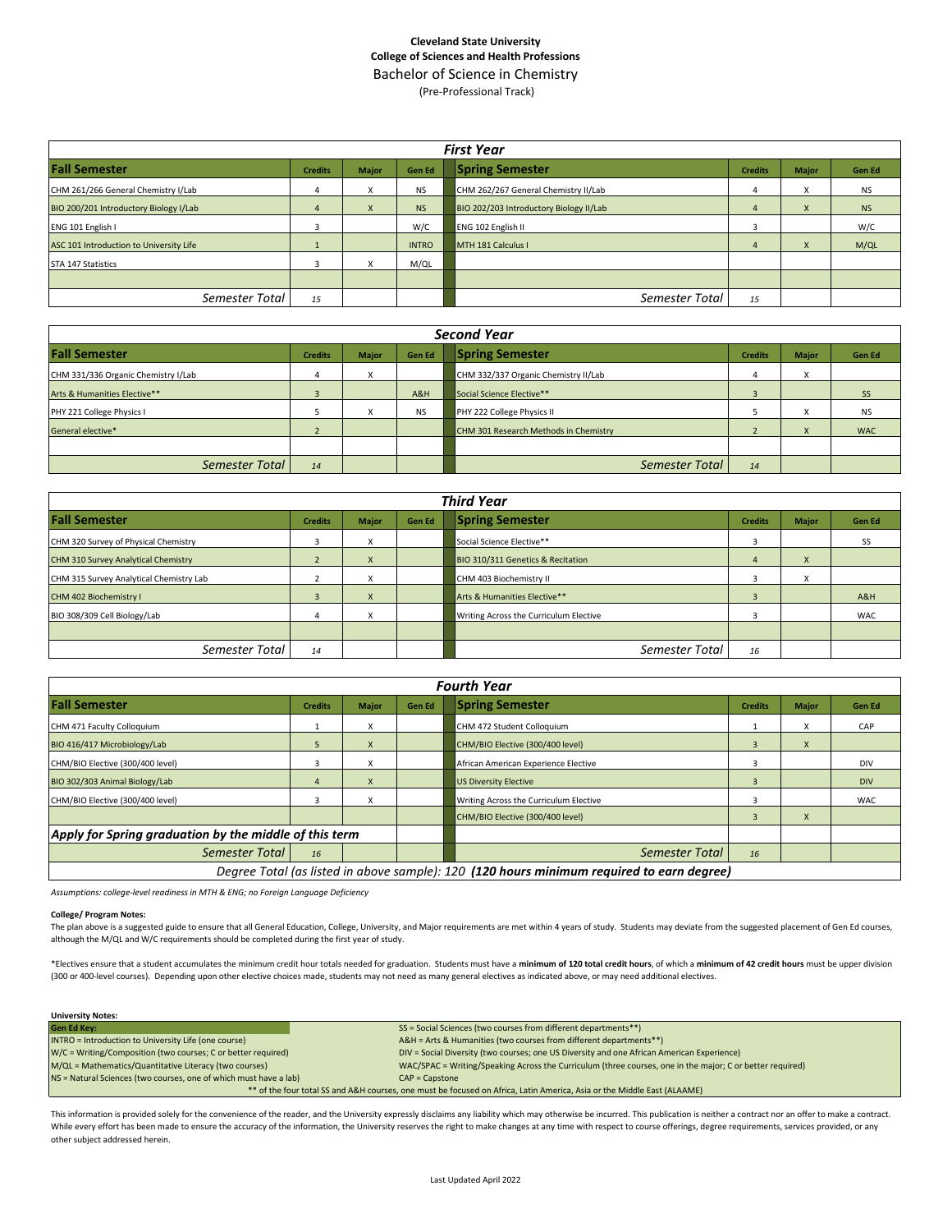Bachelor of Science in Chemistry (Pre-Professional Track)

| <b>First Year</b>                       |                |              |               |                                         |                |              |           |  |  |  |  |
|-----------------------------------------|----------------|--------------|---------------|-----------------------------------------|----------------|--------------|-----------|--|--|--|--|
| <b>Fall Semester</b>                    | <b>Credits</b> | <b>Major</b> | <b>Gen Ed</b> | <b>Spring Semester</b>                  | <b>Credits</b> | <b>Major</b> | Gen Ed    |  |  |  |  |
| CHM 261/266 General Chemistry I/Lab     |                | X            | <b>NS</b>     | CHM 262/267 General Chemistry II/Lab    |                | x            | <b>NS</b> |  |  |  |  |
| BIO 200/201 Introductory Biology I/Lab  | 4              | $\mathsf{x}$ | <b>NS</b>     | BIO 202/203 Introductory Biology II/Lab | 4              | X            | <b>NS</b> |  |  |  |  |
| ENG 101 English I                       |                |              | W/C           | ENG 102 English II                      |                |              | W/C       |  |  |  |  |
| ASC 101 Introduction to University Life |                |              | <b>INTRO</b>  | MTH 181 Calculus I                      |                | X            | M/QL      |  |  |  |  |
| STA 147 Statistics                      |                | X            | M/QL          |                                         |                |              |           |  |  |  |  |
|                                         |                |              |               |                                         |                |              |           |  |  |  |  |
| Semester Total                          | 15             |              |               | Semester Total                          | 15             |              |           |  |  |  |  |

| <b>Second Year</b>                  |                |              |               |                                       |                |                           |            |  |  |  |  |
|-------------------------------------|----------------|--------------|---------------|---------------------------------------|----------------|---------------------------|------------|--|--|--|--|
| <b>Fall Semester</b>                | <b>Credits</b> | <b>Major</b> | <b>Gen Ed</b> | <b>Spring Semester</b>                | <b>Credits</b> | <b>Major</b>              | Gen Ed     |  |  |  |  |
| CHM 331/336 Organic Chemistry I/Lab | 4              | X            |               | CHM 332/337 Organic Chemistry II/Lab  | 4              | $\checkmark$<br>$\lambda$ |            |  |  |  |  |
| Arts & Humanities Elective**        |                |              | A&H           | Social Science Elective**             |                |                           | <b>SS</b>  |  |  |  |  |
| PHY 221 College Physics I           |                | X            | <b>NS</b>     | PHY 222 College Physics II            |                | $\checkmark$<br>⋏         | <b>NS</b>  |  |  |  |  |
| General elective*                   |                |              |               | CHM 301 Research Methods in Chemistry |                | $\mathbf{v}$<br>$\Lambda$ | <b>WAC</b> |  |  |  |  |
|                                     |                |              |               |                                       |                |                           |            |  |  |  |  |
| Semester Total                      | 14             |              |               | Semester Total                        | 14             |                           |            |  |  |  |  |

| <b>Third Year</b>                          |                |              |               |                                        |                |                        |            |  |  |  |  |
|--------------------------------------------|----------------|--------------|---------------|----------------------------------------|----------------|------------------------|------------|--|--|--|--|
| <b>Fall Semester</b>                       | <b>Credits</b> | <b>Major</b> | <b>Gen Ed</b> | <b>Spring Semester</b>                 | <b>Credits</b> | <b>Major</b>           | Gen Ed     |  |  |  |  |
| CHM 320 Survey of Physical Chemistry       |                | x            |               | Social Science Elective**              |                |                        | <b>SS</b>  |  |  |  |  |
| <b>CHM 310 Survey Analytical Chemistry</b> |                | X            |               | BIO 310/311 Genetics & Recitation      |                | $\lambda$              |            |  |  |  |  |
| CHM 315 Survey Analytical Chemistry Lab    |                | x            |               | CHM 403 Biochemistry II                |                | $\lambda$<br>$\lambda$ |            |  |  |  |  |
| CHM 402 Biochemistry I                     |                | X            |               | Arts & Humanities Elective**           |                |                        | A&H        |  |  |  |  |
| BIO 308/309 Cell Biology/Lab               |                | x            |               | Writing Across the Curriculum Elective |                |                        | <b>WAC</b> |  |  |  |  |
|                                            |                |              |               |                                        |                |                        |            |  |  |  |  |
| Semester Total                             | 14             |              |               | Semester Total                         | 16             |                        |            |  |  |  |  |

|                                                                                           | <b>Fourth Year</b> |                   |               |                                        |                |              |            |  |  |  |  |  |
|-------------------------------------------------------------------------------------------|--------------------|-------------------|---------------|----------------------------------------|----------------|--------------|------------|--|--|--|--|--|
| <b>Fall Semester</b>                                                                      | <b>Credits</b>     | Major             | <b>Gen Ed</b> | <b>Spring Semester</b>                 | <b>Credits</b> | <b>Major</b> | Gen Ed     |  |  |  |  |  |
| CHM 471 Faculty Colloquium                                                                |                    | x                 |               | CHM 472 Student Colloquium             |                | X            | CAP        |  |  |  |  |  |
| BIO 416/417 Microbiology/Lab                                                              | 5                  | X                 |               | CHM/BIO Elective (300/400 level)       | 3              | $\mathsf{x}$ |            |  |  |  |  |  |
| CHM/BIO Elective (300/400 level)                                                          | 3                  | X                 |               | African American Experience Elective   |                |              | <b>DIV</b> |  |  |  |  |  |
| BIO 302/303 Animal Biology/Lab                                                            | 4                  | X                 |               | <b>US Diversity Elective</b>           | 3              |              | <b>DIV</b> |  |  |  |  |  |
| CHM/BIO Elective (300/400 level)                                                          | 3                  | $\checkmark$<br>v |               | Writing Across the Curriculum Elective |                |              | <b>WAC</b> |  |  |  |  |  |
|                                                                                           |                    |                   |               | CHM/BIO Elective (300/400 level)       |                | X            |            |  |  |  |  |  |
| Apply for Spring graduation by the middle of this term                                    |                    |                   |               |                                        |                |              |            |  |  |  |  |  |
| Semester Total                                                                            | 16                 |                   |               | Semester Total                         | 16             |              |            |  |  |  |  |  |
| Degree Total (as listed in above sample): 120 (120 hours minimum required to earn degree) |                    |                   |               |                                        |                |              |            |  |  |  |  |  |

*Assumptions: college-level readiness in MTH & ENG; no Foreign Language Deficiency*

#### **College/ Program Notes:**

The plan above is a suggested guide to ensure that all General Education, College, University, and Major requirements are met within 4 years of study. Students may deviate from the suggested placement of Gen Ed courses, although the M/QL and W/C requirements should be completed during the first year of study.

\*Electives ensure that a student accumulates the minimum credit hour totals needed for graduation. Students must have a minimum of 120 total credit hours, of which a minimum of 42 credit hours must be upper division (300 or 400-level courses). Depending upon other elective choices made, students may not need as many general electives as indicated above, or may need additional electives.

| <b>University Notes:</b>                                          |                                                                                                                         |
|-------------------------------------------------------------------|-------------------------------------------------------------------------------------------------------------------------|
| <b>Gen Ed Key:</b>                                                | SS = Social Sciences (two courses from different departments**)                                                         |
| INTRO = Introduction to University Life (one course)              | A&H = Arts & Humanities (two courses from different departments**)                                                      |
| W/C = Writing/Composition (two courses; C or better required)     | DIV = Social Diversity (two courses; one US Diversity and one African American Experience)                              |
| M/QL = Mathematics/Quantitative Literacy (two courses)            | WAC/SPAC = Writing/Speaking Across the Curriculum (three courses, one in the major; C or better required)               |
| NS = Natural Sciences (two courses, one of which must have a lab) | $CAP = Casstone$                                                                                                        |
|                                                                   | ** of the four total SS and A&H courses, one must be focused on Africa, Latin America, Asia or the Middle East (ALAAME) |

This information is provided solely for the convenience of the reader, and the University expressly disclaims any liability which may otherwise be incurred. This publication is neither a contract nor an offer to make a con While every effort has been made to ensure the accuracy of the information, the University reserves the right to make changes at any time with respect to course offerings, degree requirements, services provided, or any other subject addressed herein.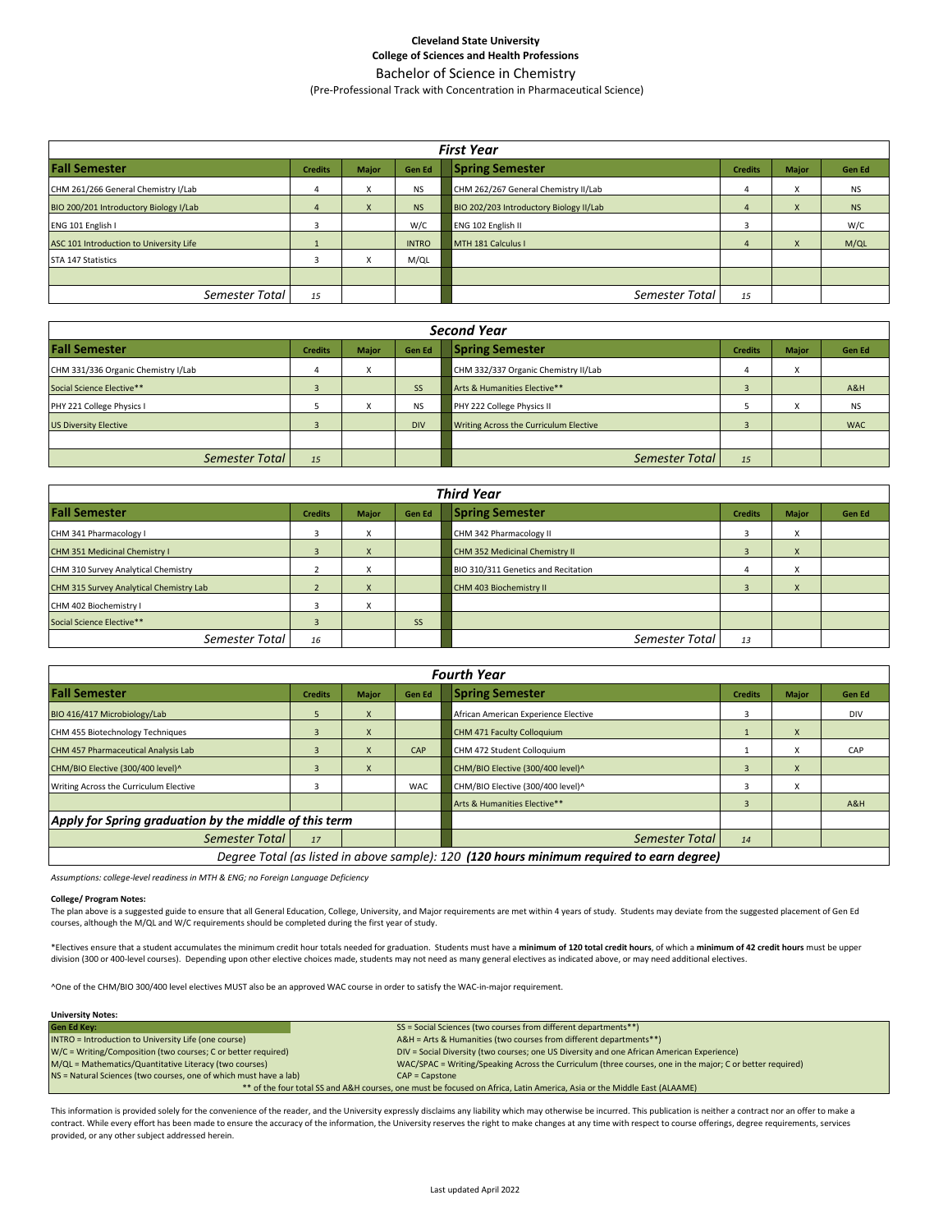#### Bachelor of Science in Chemistry (Pre-Professional Track with Concentration in Pharmaceutical Science)

| <b>First Year</b>                       |                |              |               |                                         |                |              |           |  |  |  |  |
|-----------------------------------------|----------------|--------------|---------------|-----------------------------------------|----------------|--------------|-----------|--|--|--|--|
| <b>Fall Semester</b>                    | <b>Credits</b> | <b>Major</b> | <b>Gen Ed</b> | <b>Spring Semester</b>                  | <b>Credits</b> | <b>Major</b> | Gen Ed    |  |  |  |  |
| CHM 261/266 General Chemistry I/Lab     |                | X            | <b>NS</b>     | CHM 262/267 General Chemistry II/Lab    | 4              | x            | <b>NS</b> |  |  |  |  |
| BIO 200/201 Introductory Biology I/Lab  |                | X            | <b>NS</b>     | BIO 202/203 Introductory Biology II/Lab | 4              | $\mathsf{x}$ | <b>NS</b> |  |  |  |  |
| ENG 101 English I                       |                |              | W/C           | ENG 102 English II                      | э              |              | W/C       |  |  |  |  |
| ASC 101 Introduction to University Life |                |              | <b>INTRO</b>  | MTH 181 Calculus I                      | 4              | X            | M/QL      |  |  |  |  |
| <b>STA 147 Statistics</b>               |                | x            | M/QL          |                                         |                |              |           |  |  |  |  |
|                                         |                |              |               |                                         |                |              |           |  |  |  |  |
| Semester Total                          | 15             |              |               | Semester Total                          | 15             |              |           |  |  |  |  |

| <b>Second Year</b>                  |                |              |               |                                        |                |                           |            |  |
|-------------------------------------|----------------|--------------|---------------|----------------------------------------|----------------|---------------------------|------------|--|
| <b>Fall Semester</b>                | <b>Credits</b> | <b>Major</b> | <b>Gen Ed</b> | <b>Spring Semester</b>                 | <b>Credits</b> | <b>Major</b>              | Gen Ed     |  |
| CHM 331/336 Organic Chemistry I/Lab |                | x            |               | CHM 332/337 Organic Chemistry II/Lab   |                | $\checkmark$<br>$\lambda$ |            |  |
| Social Science Elective**           |                |              | <b>SS</b>     | Arts & Humanities Elective**           |                |                           | A&H        |  |
| PHY 221 College Physics I           |                | X            | <b>NS</b>     | PHY 222 College Physics II             |                | $\lambda$                 | <b>NS</b>  |  |
| <b>US Diversity Elective</b>        |                |              | <b>DIV</b>    | Writing Across the Curriculum Elective |                |                           | <b>WAC</b> |  |
|                                     |                |              |               |                                        |                |                           |            |  |
| Semester Total                      | 15             |              |               | Semester Total                         | 15             |                           |            |  |

| <b>Third Year</b>                       |                |              |               |                                     |                |                                        |        |  |  |
|-----------------------------------------|----------------|--------------|---------------|-------------------------------------|----------------|----------------------------------------|--------|--|--|
| <b>Fall Semester</b>                    | <b>Credits</b> | <b>Major</b> | <b>Gen Ed</b> | <b>Spring Semester</b>              | <b>Credits</b> | <b>Major</b>                           | Gen Ed |  |  |
| CHM 341 Pharmacology I                  |                | x            |               | CHM 342 Pharmacology II             |                | X                                      |        |  |  |
| CHM 351 Medicinal Chemistry I           |                | X            |               | CHM 352 Medicinal Chemistry II      | 3              | X                                      |        |  |  |
| CHM 310 Survey Analytical Chemistry     |                | X            |               | BIO 310/311 Genetics and Recitation |                | $\lambda$<br>Δ                         |        |  |  |
| CHM 315 Survey Analytical Chemistry Lab |                | $\mathsf{x}$ |               | CHM 403 Biochemistry II             |                | $\mathbf{v}$<br>$\boldsymbol{\lambda}$ |        |  |  |
| CHM 402 Biochemistry I                  |                | x            |               |                                     |                |                                        |        |  |  |
| Social Science Elective**               |                |              | <b>SS</b>     |                                     |                |                                        |        |  |  |
| Semester Total                          | 16             |              |               | Semester Total                      | 13             |                                        |        |  |  |

| <b>Fourth Year</b>                                                                        |                |                           |               |                                      |                |              |            |  |
|-------------------------------------------------------------------------------------------|----------------|---------------------------|---------------|--------------------------------------|----------------|--------------|------------|--|
| <b>Fall Semester</b>                                                                      | <b>Credits</b> | <b>Major</b>              | <b>Gen Ed</b> | <b>Spring Semester</b>               | <b>Credits</b> | <b>Major</b> | Gen Ed     |  |
| BIO 416/417 Microbiology/Lab                                                              |                | $\boldsymbol{\mathsf{x}}$ |               | African American Experience Elective | 3              |              | <b>DIV</b> |  |
| CHM 455 Biotechnology Techniques                                                          |                | $\mathsf{x}$              |               | CHM 471 Faculty Colloquium           |                | X            |            |  |
| CHM 457 Pharmaceutical Analysis Lab                                                       |                | $\mathsf{x}$              | CAP           | CHM 472 Student Colloquium           |                | X            | CAP        |  |
| CHM/BIO Elective (300/400 level)^                                                         |                | X                         |               | CHM/BIO Elective (300/400 level)^    | $\overline{3}$ | X            |            |  |
| Writing Across the Curriculum Elective                                                    |                |                           | <b>WAC</b>    | CHM/BIO Elective (300/400 level)^    |                | x            |            |  |
|                                                                                           |                |                           |               | Arts & Humanities Elective**         |                |              | A&H        |  |
| Apply for Spring graduation by the middle of this term                                    |                |                           |               |                                      |                |              |            |  |
| Semester Total                                                                            | 17             |                           |               | Semester Total                       | 14             |              |            |  |
| Degree Total (as listed in above sample): 120 (120 hours minimum required to earn degree) |                |                           |               |                                      |                |              |            |  |

*Assumptions: college-level readiness in MTH & ENG; no Foreign Language Deficiency*

#### **College/ Program Notes:**

The plan above is a suggested guide to ensure that all General Education, College, University, and Major requirements are met within 4 years of study. Students may deviate from the suggested placement of Gen Ed courses, although the M/QL and W/C requirements should be completed during the first year of study.

\*Electives ensure that a student accumulates the minimum credit hour totals needed for graduation. Students must have a **minimum of 120 total credit hours**, of which a **minimum of 42 credit hours** must be upper division (300 or 400-level courses). Depending upon other elective choices made, students may not need as many general electives as indicated above, or may need additional electives.

^One of the CHM/BIO 300/400 level electives MUST also be an approved WAC course in order to satisfy the WAC-in-major requirement.

#### **University Notes:**

| <b>Gen Ed Kev:</b>                                                                                                      | SS = Social Sciences (two courses from different departments**)                                           |  |  |  |  |  |
|-------------------------------------------------------------------------------------------------------------------------|-----------------------------------------------------------------------------------------------------------|--|--|--|--|--|
| INTRO = Introduction to University Life (one course)                                                                    | A&H = Arts & Humanities (two courses from different departments**)                                        |  |  |  |  |  |
| W/C = Writing/Composition (two courses; C or better required)                                                           | DIV = Social Diversity (two courses; one US Diversity and one African American Experience)                |  |  |  |  |  |
| M/QL = Mathematics/Quantitative Literacy (two courses)                                                                  | WAC/SPAC = Writing/Speaking Across the Curriculum (three courses, one in the major; C or better required) |  |  |  |  |  |
| NS = Natural Sciences (two courses, one of which must have a lab)                                                       | $CAP = \text{Capstone}$                                                                                   |  |  |  |  |  |
| ** of the four total SS and A&H courses, one must be focused on Africa, Latin America, Asia or the Middle East (ALAAME) |                                                                                                           |  |  |  |  |  |

This information is provided solely for the convenience of the reader, and the University expressly disclaims any liability which may otherwise be incurred. This publication is neither a contract nor an offer to make a contract. While every effort has been made to ensure the accuracy of the information, the University reserves the right to make changes at any time with respect to course offerings, degree requirements, services provided, or any other subject addressed herein.